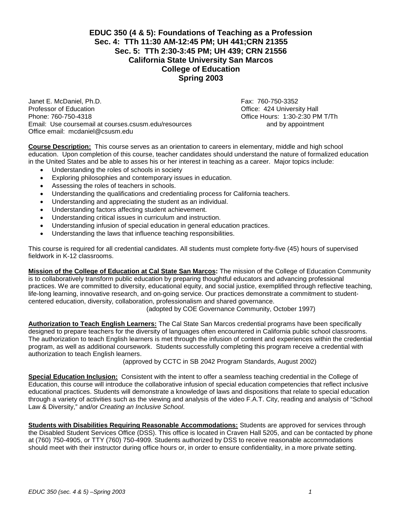# **EDUC 350 (4 & 5): Foundations of Teaching as a Profession Sec. 4: TTh 11:30 AM-12:45 PM; UH 441;CRN 21355 Sec. 5: TTh 2:30-3:45 PM; UH 439; CRN 21556 California State University San Marcos College of Education Spring 2003**

Janet E. McDaniel, Ph.D.<br>
Professor of Education<br>
Professor of Education Phone: 760-750-4318 Office Hours: 1:30-2:30 PM T/Th Email: Use coursemail at courses.csusm.edu/resources and by appointment Office email: mcdaniel@csusm.edu

Office: 424 University Hall

**Course Description:** This course serves as an orientation to careers in elementary, middle and high school education. Upon completion of this course, teacher candidates should understand the nature of formalized education in the United States and be able to asses his or her interest in teaching as a career. Major topics include:

- Understanding the roles of schools in society
- Exploring philosophies and contemporary issues in education.
- Assessing the roles of teachers in schools.
- Understanding the qualifications and credentialing process for California teachers.
- Understanding and appreciating the student as an individual.
- Understanding factors affecting student achievement.
- Understanding critical issues in curriculum and instruction.
- Understanding infusion of special education in general education practices.
- Understanding the laws that influence teaching responsibilities.

This course is required for all credential candidates. All students must complete forty-five (45) hours of supervised fieldwork in K-12 classrooms.

**Mission of the College of Education at Cal State San Marcos:** The mission of the College of Education Community is to collaboratively transform public education by preparing thoughtful educators and advancing professional practices. We are committed to diversity, educational equity, and social justice, exemplified through reflective teaching, life-long learning, innovative research, and on-going service. Our practices demonstrate a commitment to studentcentered education, diversity, collaboration, professionalism and shared governance.

(adopted by COE Governance Community, October 1997)

**Authorization to Teach English Learners:** The Cal State San Marcos credential programs have been specifically designed to prepare teachers for the diversity of languages often encountered in California public school classrooms. The authorization to teach English learners is met through the infusion of content and experiences within the credential program, as well as additional coursework. Students successfully completing this program receive a credential with authorization to teach English learners.

(approved by CCTC in SB 2042 Program Standards, August 2002)

**Special Education Inclusion:** Consistent with the intent to offer a seamless teaching credential in the College of Education, this course will introduce the collaborative infusion of special education competencies that reflect inclusive educational practices. Students will demonstrate a knowledge of laws and dispositions that relate to special education through a variety of activities such as the viewing and analysis of the video F.A.T. City, reading and analysis of "School Law & Diversity," and/or *Creating an Inclusive School*.

**Students with Disabilities Requiring Reasonable Accommodations:** Students are approved for services through the Disabled Student Services Office (DSS). This office is located in Craven Hall 5205, and can be contacted by phone at (760) 750-4905, or TTY (760) 750-4909. Students authorized by DSS to receive reasonable accommodations should meet with their instructor during office hours or, in order to ensure confidentiality, in a more private setting.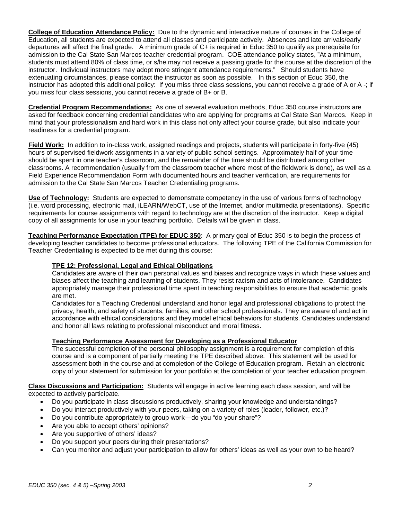**College of Education Attendance Policy:** Due to the dynamic and interactive nature of courses in the College of Education, all students are expected to attend all classes and participate actively. Absences and late arrivals/early departures will affect the final grade. A minimum grade of C+ is required in Educ 350 to qualify as prerequisite for admission to the Cal State San Marcos teacher credential program. COE attendance policy states, "At a minimum, students must attend 80% of class time, or s/he may not receive a passing grade for the course at the discretion of the instructor. Individual instructors may adopt more stringent attendance requirements." Should students have extenuating circumstances, please contact the instructor as soon as possible. In this section of Educ 350, the instructor has adopted this additional policy: If you miss three class sessions, you cannot receive a grade of A or A -; if you miss four class sessions, you cannot receive a grade of B+ or B.

**Credential Program Recommendations:** As one of several evaluation methods, Educ 350 course instructors are asked for feedback concerning credential candidates who are applying for programs at Cal State San Marcos. Keep in mind that your professionalism and hard work in this class not only affect your course grade, but also indicate your readiness for a credential program.

**Field Work:** In addition to in-class work, assigned readings and projects, students will participate in forty-five (45) hours of supervised fieldwork assignments in a variety of public school settings. Approximately half of your time should be spent in one teacher's classroom, and the remainder of the time should be distributed among other classrooms. A recommendation (usually from the classroom teacher where most of the fieldwork is done), as well as a Field Experience Recommendation Form with documented hours and teacher verification, are requirements for admission to the Cal State San Marcos Teacher Credentialing programs.

**Use of Technology:** Students are expected to demonstrate competency in the use of various forms of technology (i.e. word processing, electronic mail, iLEARN/WebCT, use of the Internet, and/or multimedia presentations). Specific requirements for course assignments with regard to technology are at the discretion of the instructor. Keep a digital copy of all assignments for use in your teaching portfolio. Details will be given in class.

**Teaching Performance Expectation (TPE) for EDUC 350**: A primary goal of Educ 350 is to begin the process of developing teacher candidates to become professional educators. The following TPE of the California Commission for Teacher Credentialing is expected to be met during this course:

## **TPE 12: Professional, Legal and Ethical Obligations**

Candidates are aware of their own personal values and biases and recognize ways in which these values and biases affect the teaching and learning of students. They resist racism and acts of intolerance. Candidates appropriately manage their professional time spent in teaching responsibilities to ensure that academic goals are met.

Candidates for a Teaching Credential understand and honor legal and professional obligations to protect the privacy, health, and safety of students, families, and other school professionals. They are aware of and act in accordance with ethical considerations and they model ethical behaviors for students. Candidates understand and honor all laws relating to professional misconduct and moral fitness.

## **Teaching Performance Assessment for Developing as a Professional Educator**

The successful completion of the personal philosophy assignment is a requirement for completion of this course and is a component of partially meeting the TPE described above. This statement will be used for assessment both in the course and at completion of the College of Education program. Retain an electronic copy of your statement for submission for your portfolio at the completion of your teacher education program.

**Class Discussions and Participation:** Students will engage in active learning each class session, and will be expected to actively participate.

- Do you participate in class discussions productively, sharing your knowledge and understandings?
- Do you interact productively with your peers, taking on a variety of roles (leader, follower, etc.)?
- Do you contribute appropriately to group work—do you "do your share"?
- Are you able to accept others' opinions?
- Are you supportive of others' ideas?
- Do you support your peers during their presentations?
- Can you monitor and adjust your participation to allow for others' ideas as well as your own to be heard?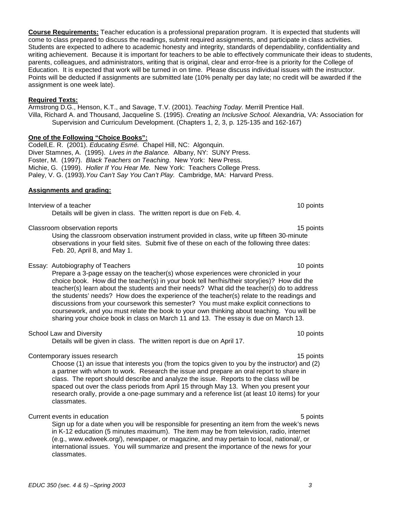**Course Requirements:** Teacher education is a professional preparation program. It is expected that students will come to class prepared to discuss the readings, submit required assignments, and participate in class activities. Students are expected to adhere to academic honesty and integrity, standards of dependability, confidentiality and writing achievement. Because it is important for teachers to be able to effectively communicate their ideas to students, parents, colleagues, and administrators, writing that is original, clear and error-free is a priority for the College of Education. It is expected that work will be turned in on time. Please discuss individual issues with the instructor. Points will be deducted if assignments are submitted late (10% penalty per day late; no credit will be awarded if the assignment is one week late).

#### **Required Texts:**

Armstrong D.G., Henson, K.T., and Savage, T.V. (2001). *Teaching Today.* Merrill Prentice Hall. Villa, Richard A. and Thousand, Jacqueline S. (1995). *Creating an Inclusive School.* Alexandria, VA: Association for Supervision and Curriculum Development. (Chapters 1, 2, 3, p. 125-135 and 162-167)

### **One of the Following "Choice Books":**

Codell,E. R. (2001). *Educating Esmé.* Chapel Hill, NC: Algonquin. Diver Stamnes, A. (1995). *Lives in the Balance.* Albany, NY: SUNY Press. Foster, M. (1997). *Black Teachers on Teaching*. New York: New Press. Michie, G. (1999). *Holler If You Hear Me.* New York: Teachers College Press. Paley, V. G. (1993).*You Can't Say You Can't Play.* Cambridge, MA: Harvard Press.

#### **Assignments and grading:**

Interview of a teacher 10 points and the set of the set of the set of the set of the set of the set of the set of the set of the set of the set of the set of the set of the set of the set of the set of the set of the set o Details will be given in class. The written report is due on Feb. 4.

Classroom observation reports 15 points 15 points 15 points 15 points 15 points 15 points 15 points 15 points 15 points 15 points 15 points 15 points 15 points 15 points 15 points 15 points 15 points 15 points 15 points 15

Using the classroom observation instrument provided in class, write up fifteen 30-minute observations in your field sites. Submit five of these on each of the following three dates: Feb. 20, April 8, and May 1.

#### Essay: Autobiography of Teachers 10 points 10 points 10 points

Prepare a 3-page essay on the teacher(s) whose experiences were chronicled in your choice book. How did the teacher(s) in your book tell her/his/their story(ies)? How did the teacher(s) learn about the students and their needs? What did the teacher(s) do to address the students' needs? How does the experience of the teacher(s) relate to the readings and discussions from your coursework this semester? You must make explicit connections to coursework, and you must relate the book to your own thinking about teaching. You will be sharing your choice book in class on March 11 and 13. The essay is due on March 13.

#### School Law and Diversity 10 points 10 points 10 points 10 points 10 points 10 points 10 points 10 points 10 points 10 points 10 points 10 points 10 points 10 points 10 points 10 points 10 points 10 points 10 points 10 poin

Details will be given in class. The written report is due on April 17.

#### Contemporary issues research 15 points and the contemporary issues research 15 points and 15 points of the contemporary issues research 15 points and 15 points of the contemporary issues research 15 points and 15 points of

Choose (1) an issue that interests you (from the topics given to you by the instructor) and (2) a partner with whom to work. Research the issue and prepare an oral report to share in class. The report should describe and analyze the issue. Reports to the class will be spaced out over the class periods from April 15 through May 13. When you present your research orally, provide a one-page summary and a reference list (at least 10 items) for your classmates.

#### Current events in education **5** points **5** points **5** points **5** points **5** points

Sign up for a date when you will be responsible for presenting an item from the week's news in K-12 education (5 minutes maximum). The item may be from television, radio, internet (e.g., www.edweek.org/), newspaper, or magazine, and may pertain to local, national/, or international issues. You will summarize and present the importance of the news for your classmates.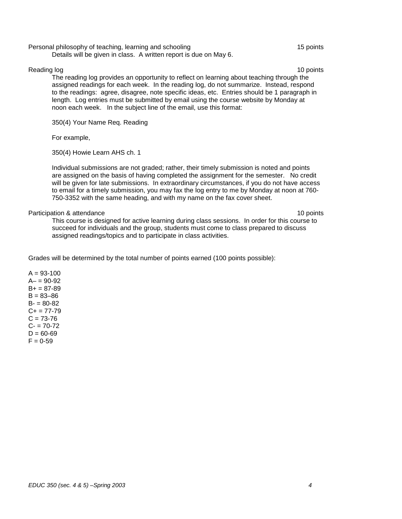#### Personal philosophy of teaching, learning and schooling 15 points 15 points

Details will be given in class. A written report is due on May 6.

### Reading log 10 points and the state of the state of the state of the state of the state of the state of the state of the state of the state of the state of the state of the state of the state of the state of the state of t

The reading log provides an opportunity to reflect on learning about teaching through the assigned readings for each week. In the reading log, do not summarize. Instead, respond to the readings: agree, disagree, note specific ideas, etc. Entries should be 1 paragraph in length. Log entries must be submitted by email using the course website by Monday at noon each week. In the subject line of the email, use this format:

350(4) Your Name Req. Reading

For example,

350(4) Howie Learn AHS ch. 1

Individual submissions are not graded; rather, their timely submission is noted and points are assigned on the basis of having completed the assignment for the semester. No credit will be given for late submissions. In extraordinary circumstances, if you do not have access to email for a timely submission, you may fax the log entry to me by Monday at noon at 760- 750-3352 with the same heading, and with my name on the fax cover sheet.

#### Participation & attendance 10 points and the set of the set of the set of the set of the set of the set of the set of the set of the set of the set of the set of the set of the set of the set of the set of the set of the s

This course is designed for active learning during class sessions. In order for this course to succeed for individuals and the group, students must come to class prepared to discuss assigned readings/topics and to participate in class activities.

Grades will be determined by the total number of points earned (100 points possible):

 $A = 93 - 100$  $A - 90 - 92$  $B+ = 87-89$  $B = 83 - 86$  $B - 80 - 82$  $C+= 77-79$  $C = 73 - 76$  $C - 70 - 72$  $D = 60 - 69$  $F = 0.59$